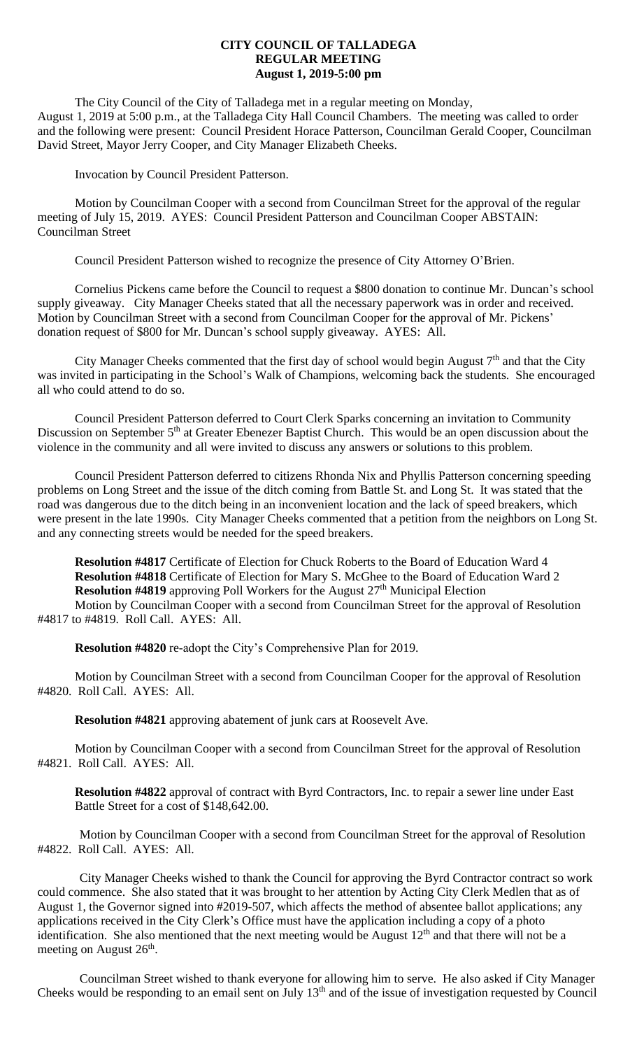## **CITY COUNCIL OF TALLADEGA REGULAR MEETING August 1, 2019-5:00 pm**

The City Council of the City of Talladega met in a regular meeting on Monday, August 1, 2019 at 5:00 p.m., at the Talladega City Hall Council Chambers. The meeting was called to order and the following were present: Council President Horace Patterson, Councilman Gerald Cooper, Councilman David Street, Mayor Jerry Cooper, and City Manager Elizabeth Cheeks.

Invocation by Council President Patterson.

Motion by Councilman Cooper with a second from Councilman Street for the approval of the regular meeting of July 15, 2019. AYES: Council President Patterson and Councilman Cooper ABSTAIN: Councilman Street

Council President Patterson wished to recognize the presence of City Attorney O'Brien.

Cornelius Pickens came before the Council to request a \$800 donation to continue Mr. Duncan's school supply giveaway. City Manager Cheeks stated that all the necessary paperwork was in order and received. Motion by Councilman Street with a second from Councilman Cooper for the approval of Mr. Pickens' donation request of \$800 for Mr. Duncan's school supply giveaway. AYES: All.

City Manager Cheeks commented that the first day of school would begin August 7<sup>th</sup> and that the City was invited in participating in the School's Walk of Champions, welcoming back the students. She encouraged all who could attend to do so.

Council President Patterson deferred to Court Clerk Sparks concerning an invitation to Community Discussion on September 5<sup>th</sup> at Greater Ebenezer Baptist Church. This would be an open discussion about the violence in the community and all were invited to discuss any answers or solutions to this problem.

Council President Patterson deferred to citizens Rhonda Nix and Phyllis Patterson concerning speeding problems on Long Street and the issue of the ditch coming from Battle St. and Long St. It was stated that the road was dangerous due to the ditch being in an inconvenient location and the lack of speed breakers, which were present in the late 1990s. City Manager Cheeks commented that a petition from the neighbors on Long St. and any connecting streets would be needed for the speed breakers.

**Resolution #4817** Certificate of Election for Chuck Roberts to the Board of Education Ward 4 **Resolution #4818** Certificate of Election for Mary S. McGhee to the Board of Education Ward 2 **Resolution #4819** approving Poll Workers for the August 27<sup>th</sup> Municipal Election Motion by Councilman Cooper with a second from Councilman Street for the approval of Resolution #4817 to #4819. Roll Call. AYES: All.

**Resolution #4820** re-adopt the City's Comprehensive Plan for 2019.

Motion by Councilman Street with a second from Councilman Cooper for the approval of Resolution #4820. Roll Call. AYES: All.

**Resolution #4821** approving abatement of junk cars at Roosevelt Ave.

Motion by Councilman Cooper with a second from Councilman Street for the approval of Resolution #4821. Roll Call. AYES: All.

**Resolution #4822** approval of contract with Byrd Contractors, Inc. to repair a sewer line under East Battle Street for a cost of \$148,642.00.

Motion by Councilman Cooper with a second from Councilman Street for the approval of Resolution #4822. Roll Call. AYES: All.

City Manager Cheeks wished to thank the Council for approving the Byrd Contractor contract so work could commence. She also stated that it was brought to her attention by Acting City Clerk Medlen that as of August 1, the Governor signed into #2019-507, which affects the method of absentee ballot applications; any applications received in the City Clerk's Office must have the application including a copy of a photo identification. She also mentioned that the next meeting would be August  $12<sup>th</sup>$  and that there will not be a meeting on August  $26<sup>th</sup>$ .

Councilman Street wished to thank everyone for allowing him to serve. He also asked if City Manager Cheeks would be responding to an email sent on July 13<sup>th</sup> and of the issue of investigation requested by Council